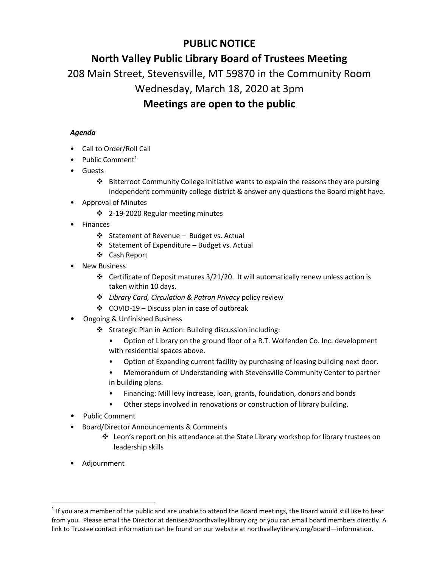## **PUBLIC NOTICE**

# **North Valley Public Library Board of Trustees Meeting**

208 Main Street, Stevensville, MT 59870 in the Community Room

# Wednesday, March 18, 2020 at 3pm

## **Meetings are open to the public**

### *Agenda*

- Call to Order/Roll Call
- Public Comment $1$
- Guests
	- $\cdot \cdot$  Bitterroot Community College Initiative wants to explain the reasons they are pursing independent community college district & answer any questions the Board might have.
- Approval of Minutes
	- ❖ 2-19-2020 Regular meeting minutes
- Finances
	- ❖ Statement of Revenue Budget vs. Actual
	- $\triangleleft$  Statement of Expenditure Budget vs. Actual
	- Cash Report
- New Business
	- $\cdot \cdot$  Certificate of Deposit matures 3/21/20. It will automatically renew unless action is taken within 10 days.
	- *Library Card, Circulation & Patron Privacy* policy review
	- $\div$  COVID-19 Discuss plan in case of outbreak
- Ongoing & Unfinished Business
	- Strategic Plan in Action: Building discussion including:
		- Option of Library on the ground floor of a R.T. Wolfenden Co. Inc. development with residential spaces above.
		- Option of Expanding current facility by purchasing of leasing building next door.
		- Memorandum of Understanding with Stevensville Community Center to partner in building plans.
		- Financing: Mill levy increase, loan, grants, foundation, donors and bonds
		- Other steps involved in renovations or construction of library building.
- Public Comment
- Board/Director Announcements & Comments
	- $\div$  Leon's report on his attendance at the State Library workshop for library trustees on leadership skills
- Adjournment

 $\overline{a}$ 

 $1$  If you are a member of the public and are unable to attend the Board meetings, the Board would still like to hear from you. Please email the Director at denisea@northvalleylibrary.org or you can email board members directly. A link to Trustee contact information can be found on our website at northvalleylibrary.org/board—information.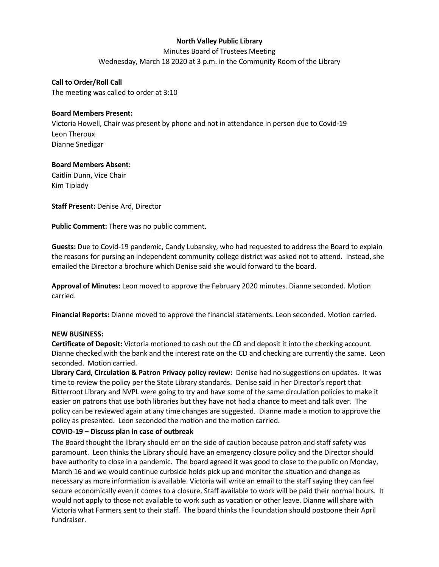#### **North Valley Public Library**

Minutes Board of Trustees Meeting Wednesday, March 18 2020 at 3 p.m. in the Community Room of the Library

**Call to Order/Roll Call** The meeting was called to order at 3:10

#### **Board Members Present:**

Victoria Howell, Chair was present by phone and not in attendance in person due to Covid-19 Leon Theroux Dianne Snedigar

### **Board Members Absent:**

Caitlin Dunn, Vice Chair Kim Tiplady

**Staff Present:** Denise Ard, Director

**Public Comment:** There was no public comment.

**Guests:** Due to Covid-19 pandemic, Candy Lubansky, who had requested to address the Board to explain the reasons for pursing an independent community college district was asked not to attend. Instead, she emailed the Director a brochure which Denise said she would forward to the board.

**Approval of Minutes:** Leon moved to approve the February 2020 minutes. Dianne seconded. Motion carried.

**Financial Reports:** Dianne moved to approve the financial statements. Leon seconded. Motion carried.

#### **NEW BUSINESS:**

**Certificate of Deposit:** Victoria motioned to cash out the CD and deposit it into the checking account. Dianne checked with the bank and the interest rate on the CD and checking are currently the same. Leon seconded. Motion carried.

**Library Card, Circulation & Patron Privacy policy review:** Denise had no suggestions on updates. It was time to review the policy per the State Library standards. Denise said in her Director's report that Bitterroot Library and NVPL were going to try and have some of the same circulation policies to make it easier on patrons that use both libraries but they have not had a chance to meet and talk over. The policy can be reviewed again at any time changes are suggested. Dianne made a motion to approve the policy as presented. Leon seconded the motion and the motion carried.

### **COVID-19 – Discuss plan in case of outbreak**

The Board thought the library should err on the side of caution because patron and staff safety was paramount. Leon thinks the Library should have an emergency closure policy and the Director should have authority to close in a pandemic. The board agreed it was good to close to the public on Monday, March 16 and we would continue curbside holds pick up and monitor the situation and change as necessary as more information is available. Victoria will write an email to the staff saying they can feel secure economically even it comes to a closure. Staff available to work will be paid their normal hours. It would not apply to those not available to work such as vacation or other leave. Dianne will share with Victoria what Farmers sent to their staff. The board thinks the Foundation should postpone their April fundraiser.